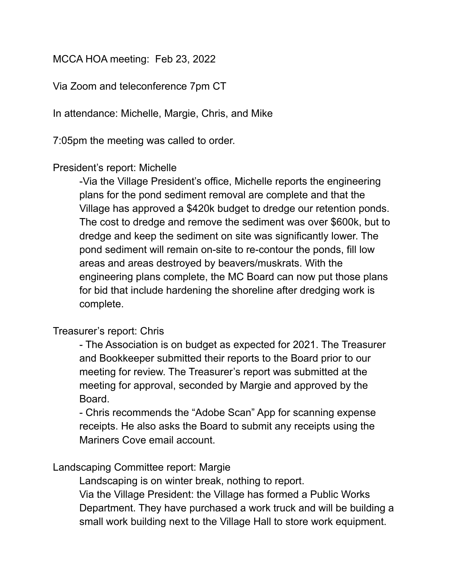## MCCA HOA meeting: Feb 23, 2022

Via Zoom and teleconference 7pm CT

In attendance: Michelle, Margie, Chris, and Mike

7:05pm the meeting was called to order.

## President's report: Michelle

-Via the Village President's office, Michelle reports the engineering plans for the pond sediment removal are complete and that the Village has approved a \$420k budget to dredge our retention ponds. The cost to dredge and remove the sediment was over \$600k, but to dredge and keep the sediment on site was significantly lower. The pond sediment will remain on-site to re-contour the ponds, fill low areas and areas destroyed by beavers/muskrats. With the engineering plans complete, the MC Board can now put those plans for bid that include hardening the shoreline after dredging work is complete.

## Treasurer's report: Chris

- The Association is on budget as expected for 2021. The Treasurer and Bookkeeper submitted their reports to the Board prior to our meeting for review. The Treasurer's report was submitted at the meeting for approval, seconded by Margie and approved by the Board.

- Chris recommends the "Adobe Scan" App for scanning expense receipts. He also asks the Board to submit any receipts using the Mariners Cove email account.

## Landscaping Committee report: Margie

Landscaping is on winter break, nothing to report.

Via the Village President: the Village has formed a Public Works Department. They have purchased a work truck and will be building a small work building next to the Village Hall to store work equipment.